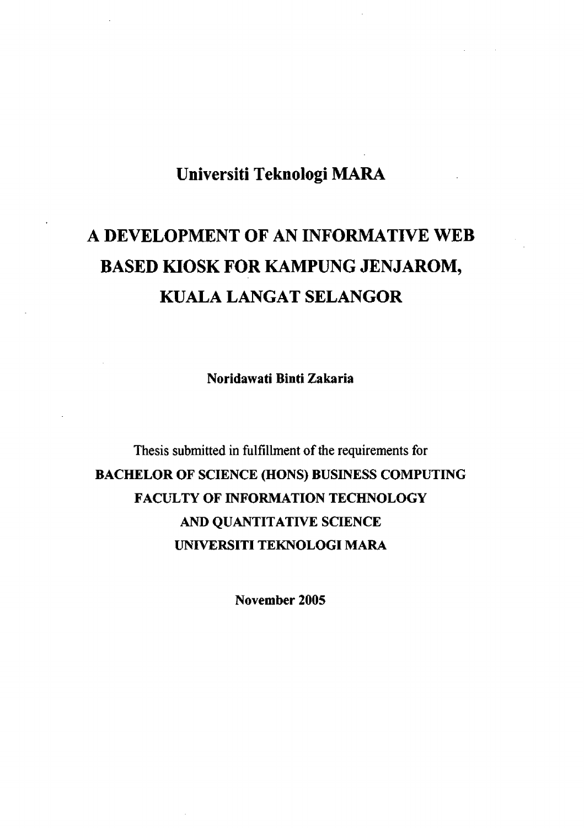### **Universiti Teknologi MARA**

# **A DEVELOPMENT OF AN INFORMATIVE WEB BASED KIOSK FOR KAMPUNG JENJAROM, KUALA LANGAT SELANGOR**

**Noridawati Binti Zakaria** 

Thesis submitted in fulfillment of the requirements for **BACHELOR OF SCIENCE (HONS) BUSINESS COMPUTING FACULTY OF INFORMATION TECHNOLOGY AND QUANTITATIVE SCIENCE UNIVERSITI TEKNOLOGI MARA** 

**November 2005**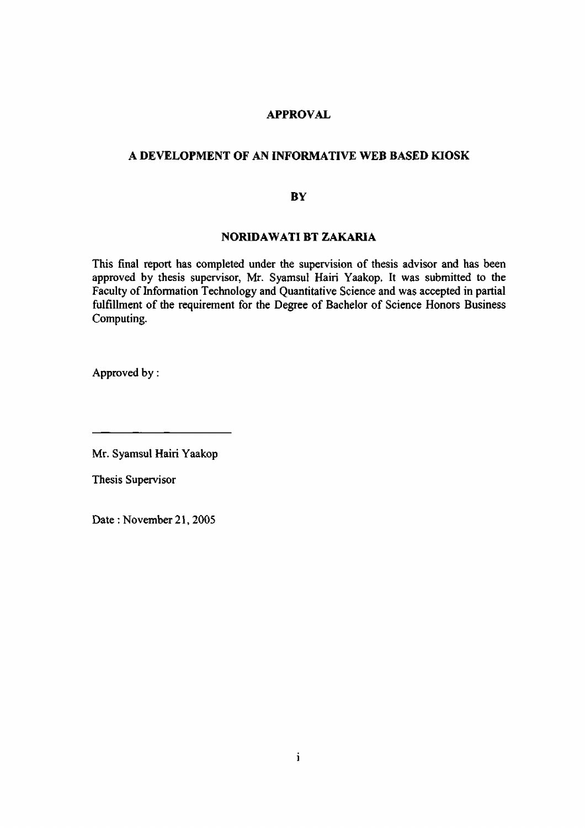#### **APPROVAL**

#### **A DEVELOPMENT OF AN INFORMATIVE WEB BASED KIOSK**

#### **BY**

#### **NORIDAWATI BT ZAKARIA**

This final report has completed under the supervision of thesis advisor and has been approved by thesis supervisor, Mr. Syamsul Hairi Yaakop. It was submitted to the Faculty of Information Technology and Quantitative Science and was accepted in partial fulfillment of the requirement for the Degree of Bachelor of Science Honors Business Computing.

Approved by:

Mr. Syamsul Hairi Yaakop

Thesis Supervisor

Date: November 21, 2005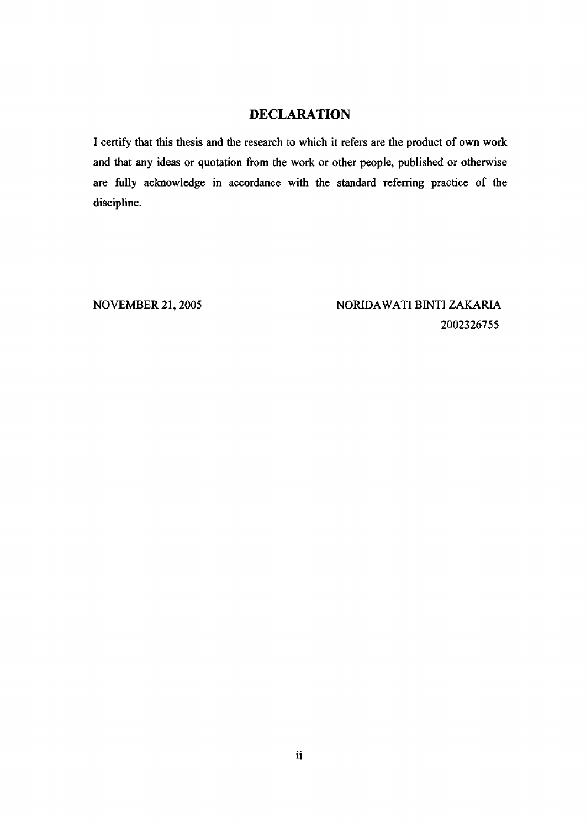#### DECLARATION

I certify that this thesis and the research to which it refers are the product of own work and that any ideas or quotation from the work or other people, published or otherwise are fully acknowledge in accordance with the standard referring practice of the discipline.

NOVEMBER 21,2005 NORIDAWATIBINTI ZAKARIA 2002326755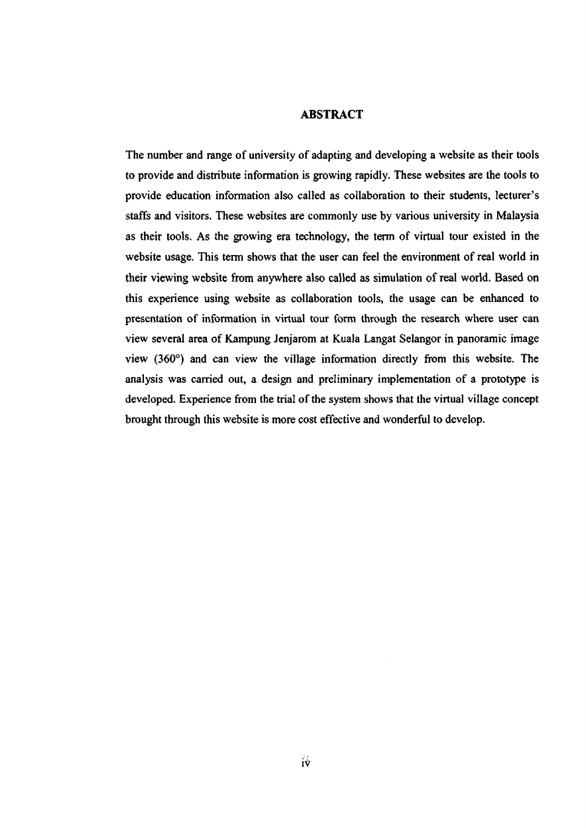#### **ABSTRACT**

The number and range of university of adapting and developing a website as their tools to provide and distribute information is growing rapidly. These websites are the tools to provide education information also called as collaboration to their students, lecturer's staffs and visitors. These websites are commonly use by various university in Malaysia as their tools. As the growing era technology, the term of virtual tour existed in the website usage. This term shows that the user can feel the environment of real world in their viewing website from anywhere also called as simulation of real world. Based on this experience using website as collaboration tools, the usage can be enhanced to presentation of information in virtual tour form through the research where user can view several area of Kampung Jenjarom at Kuala Langat Selangor in panoramic image view (360°) and can view the village information directly from this website. The analysis was carried out, a design and preliminary implementation of a prototype is developed. Experience from the trial of the system shows that the virtual village concept brought through this website is more cost effective and wonderful to develop.